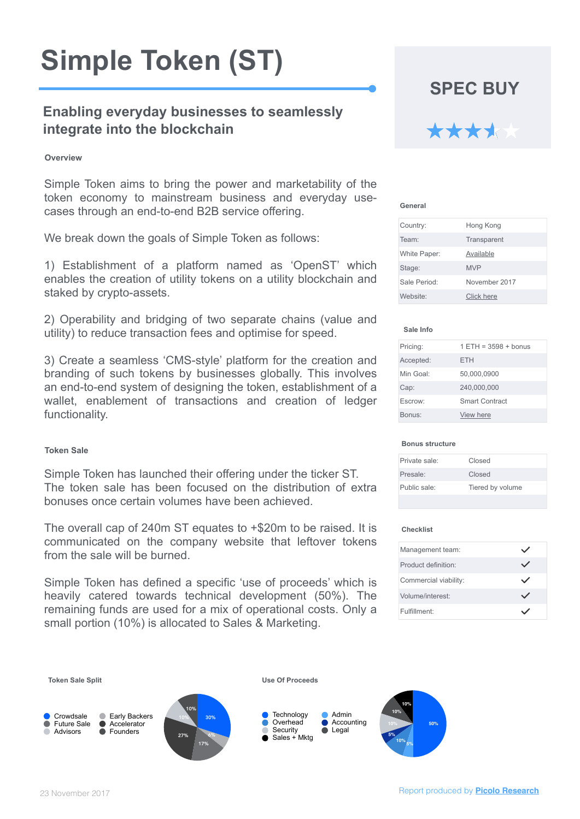# **Simple Token (ST)**

# **Enabling everyday businesses to seamlessly integrate into the blockchain**

Simple Token aims to bring the power and marketability of the token economy to mainstream business and everyday use-

cases through an end-to-end B2B service offering.

We break down the goals of Simple Token as follows:

1) Establishment of a platform named as 'OpenST' which enables the creation of utility tokens on a utility blockchain and staked by crypto-assets.

2) Operability and bridging of two separate chains (value and utility) to reduce transaction fees and optimise for speed.

3) Create a seamless 'CMS-style' platform for the creation and branding of such tokens by businesses globally. This involves an end-to-end system of designing the token, establishment of a wallet, enablement of transactions and creation of ledger functionality.

| Pricing:  | $1 ETH = 3598 + \text{bonus}$ |
|-----------|-------------------------------|
| Accepted: | ETH                           |
| Min Goal: | 50,000,0900                   |
| Cap:      | 240,000,000                   |
| Escrow:   | <b>Smart Contract</b>         |
| Bonus:    | <b>View here</b>              |

**Sale Info**

| Country:            | <b>Hong Kong</b>   |
|---------------------|--------------------|
| Team:               | <b>Transparent</b> |
| <b>White Paper:</b> | <b>Available</b>   |
| Stage:              | <b>MVP</b>         |
| <b>Sale Period:</b> | November 2017      |
| Website:            | <b>Click here</b>  |

**General**

#### **Checklist**

| <b>Management team:</b>      |  |
|------------------------------|--|
| <b>Product definition:</b>   |  |
| <b>Commercial viability:</b> |  |
| Volume/interest:             |  |
| Fulfillment:                 |  |

**Overview**

Simple Token has launched their offering under the ticker ST. The token sale has been focused on the distribution of extra bonuses once certain volumes have been achieved.

The overall cap of 240m ST equates to +\$20m to be raised. It is communicated on the company website that leftover tokens from the sale will be burned.

Simple Token has defined a specific 'use of proceeds' which is heavily catered towards technical development (50%). The remaining funds are used for a mix of operational costs. Only a small portion (10%) is allocated to Sales & Marketing.

**SPEC BUY**

| Private sale:       | <b>Closed</b>    |
|---------------------|------------------|
| Presale:            | <b>Closed</b>    |
| <b>Public sale:</b> | Tiered by volume |
|                     |                  |

#### **Bonus structure**

#### Report produced by **[Picolo Research](http://www.picoloresearch.com)**

#### **Token Sale Split** 10% 10% 27% 17% 6% Crowdsale C Early Backers 10% 30%  $\bullet$  Accelerator Advisors • **Founders 10% 10% 10% 5% 10% 5% 50%** Technology **Admin** Overhead **C** Accounting Security **Conservation Conservation** Sales + Mktg **Use Of Proceeds**

23 November 2017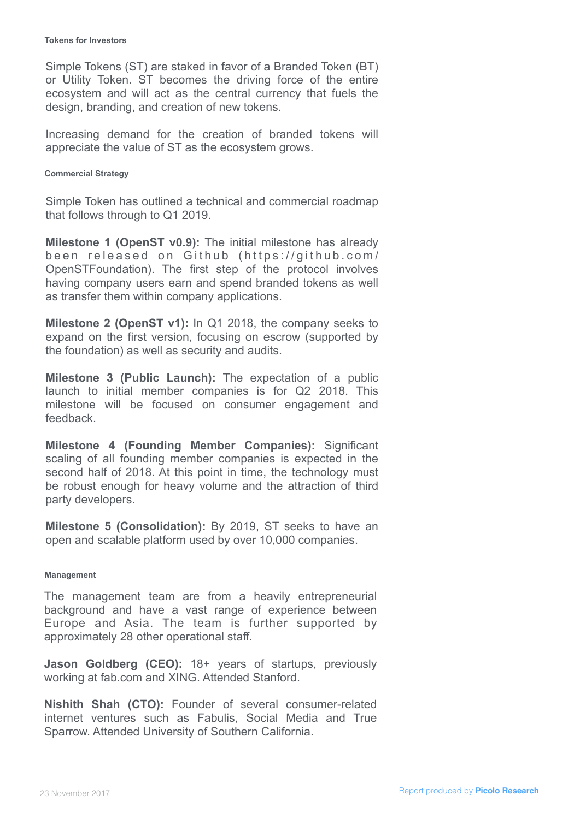The management team are from a heavily entrepreneurial background and have a vast range of experience between Europe and Asia. The team is further supported by

approximately 28 other operational staff.

**Jason Goldberg (CEO):** 18+ years of startups, previously working at fab.com and XING. Attended Stanford.

**Nishith Shah (CTO):** Founder of several consumer-related internet ventures such as Fabulis, Social Media and True Sparrow. Attended University of Southern California.

**Management**

Simple Token has outlined a technical and commercial roadmap

that follows through to Q1 2019.

**Milestone 1 (OpenST v0.9):** The initial milestone has already been released on Github (https://github.com/ OpenSTFoundation). The first step of the protocol involves having company users earn and spend branded tokens as well as transfer them within company applications.

**Milestone 2 (OpenST v1):** In Q1 2018, the company seeks to expand on the first version, focusing on escrow (supported by the foundation) as well as security and audits.

**Milestone 3 (Public Launch):** The expectation of a public launch to initial member companies is for Q2 2018. This milestone will be focused on consumer engagement and feedback.

**Milestone 4 (Founding Member Companies):** Significant scaling of all founding member companies is expected in the second half of 2018. At this point in time, the technology must be robust enough for heavy volume and the attraction of third party developers.

**Milestone 5 (Consolidation):** By 2019, ST seeks to have an open and scalable platform used by over 10,000 companies.

**Commercial Strategy**

Simple Tokens (ST) are staked in favor of a Branded Token (BT) or Utility Token. ST becomes the driving force of the entire ecosystem and will act as the central currency that fuels the design, branding, and creation of new tokens.

Increasing demand for the creation of branded tokens will appreciate the value of ST as the ecosystem grows.

## **Tokens for Investors**

Report produced by **[Picolo Research](http://www.picoloresearch.com)** 23 November 2017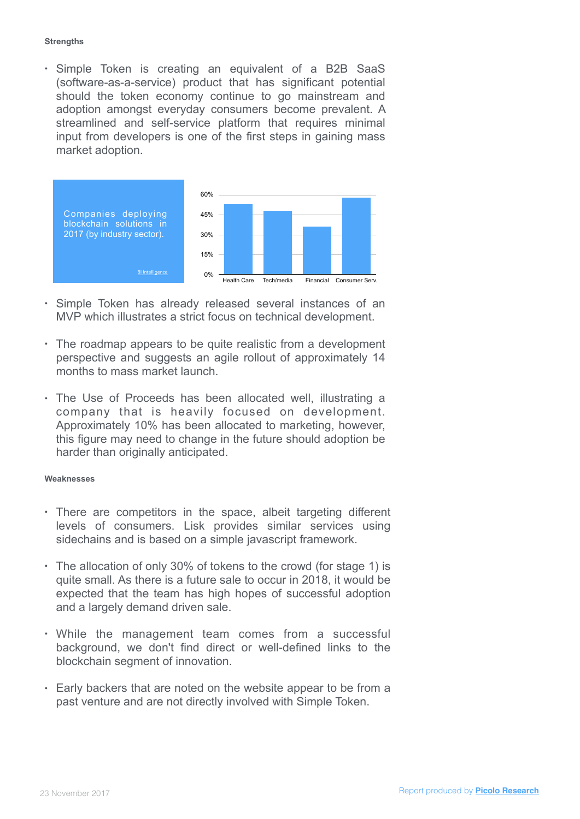### **Strengths**

**Weaknesses**

• Simple Token is creating an equivalent of a B2B SaaS (software-as-a-service) product that has significant potential should the token economy continue to go mainstream and adoption amongst everyday consumers become prevalent. A streamlined and self-service platform that requires minimal input from developers is one of the first steps in gaining mass market adoption.

- There are competitors in the space, albeit targeting different levels of consumers. Lisk provides similar services using sidechains and is based on a simple javascript framework.
- The allocation of only 30% of tokens to the crowd (for stage 1) is quite small. As there is a future sale to occur in 2018, it would be expected that the team has high hopes of successful adoption and a largely demand driven sale.
- While the management team comes from a successful background, we don't find direct or well-defined links to the blockchain segment of innovation.
- Early backers that are noted on the website appear to be from a past venture and are not directly involved with Simple Token.



- Simple Token has already released several instances of an MVP which illustrates a strict focus on technical development.
- The roadmap appears to be quite realistic from a development perspective and suggests an agile rollout of approximately 14 months to mass market launch.
- The Use of Proceeds has been allocated well, illustrating a company that is heavily focused on development.

Approximately 10% has been allocated to marketing, however, this figure may need to change in the future should adoption be harder than originally anticipated.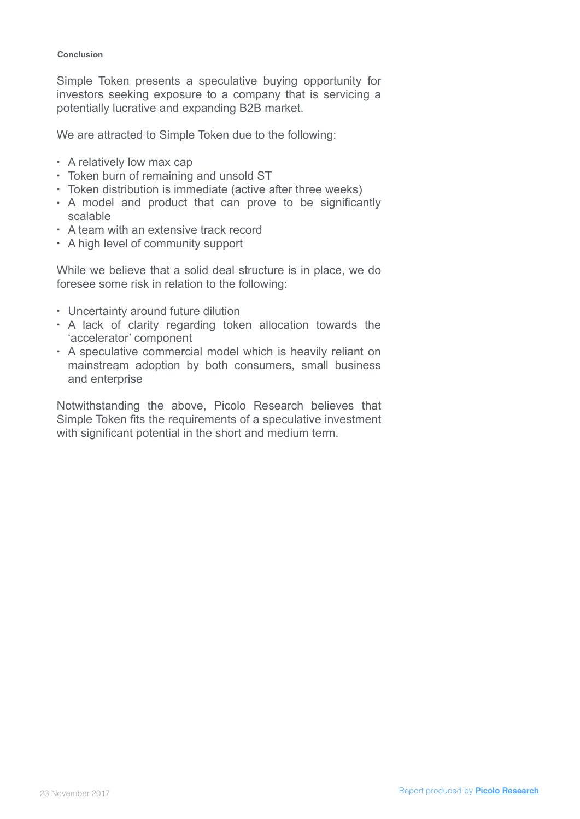**Conclusion**

Simple Token presents a speculative buying opportunity for investors seeking exposure to a company that is servicing a potentially lucrative and expanding B2B market.

We are attracted to Simple Token due to the following:

- A relatively low max cap
- Token burn of remaining and unsold ST
- Token distribution is immediate (active after three weeks)
- A model and product that can prove to be significantly

## scalable

Notwithstanding the above, Picolo Research believes that Simple Token fits the requirements of a speculative investment with significant potential in the short and medium term.

- A team with an extensive track record
- A high level of community support

While we believe that a solid deal structure is in place, we do foresee some risk in relation to the following:

- Uncertainty around future dilution
- A lack of clarity regarding token allocation towards the 'accelerator' component
- A speculative commercial model which is heavily reliant on mainstream adoption by both consumers, small business and enterprise

Report produced by **[Picolo Research](http://www.picoloresearch.com)** 23 November 2017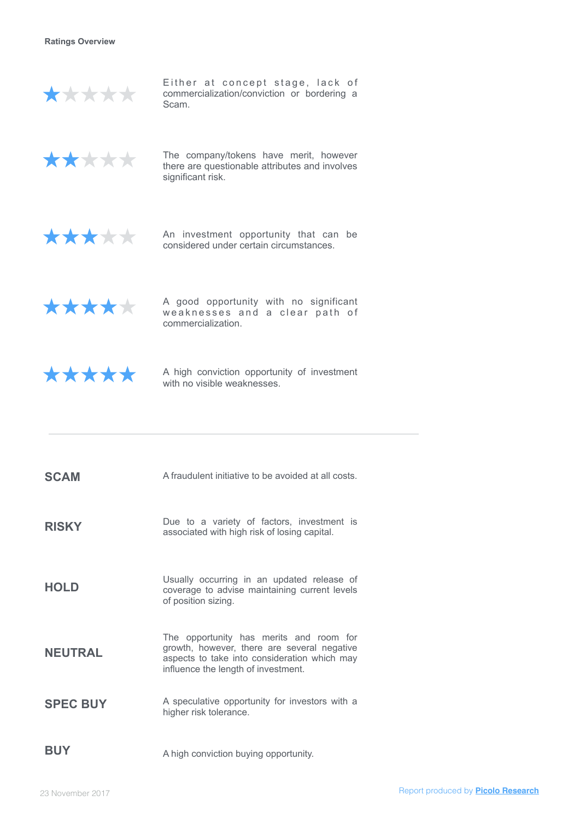**Ratings Overview**



Either at concept stage, lack of commercialization/conviction or bordering a Scam.



The company/tokens have merit, however there are questionable attributes and involves significant risk.



A high conviction opportunity of investment with no visible weaknesses.

**SCAM** A fraudulent initiative to be avoided at all costs.

An investment opportunity that can be considered under certain circumstances.



A good opportunity with no significant weaknesses and a clear path of commercialization.



Usually occurring in an updated release of<br> **HOLD** Coverage to advise maintaining current levels coverage to advise maintaining current levels of position sizing.

**SPEC BUY** A speculative opportunity for investors with a higher risk tolerance.

**RISKY** Due to a variety of factors, investment is associated with high risk of losing capital.

**BUY** A high conviction buying opportunity.

Report produced by **[Picolo Research](http://www.picoloresearch.com)**

# **NEUTRAL**

The opportunity has merits and room for growth, however, there are several negative aspects to take into consideration which may influence the length of investment.

23 November 2017